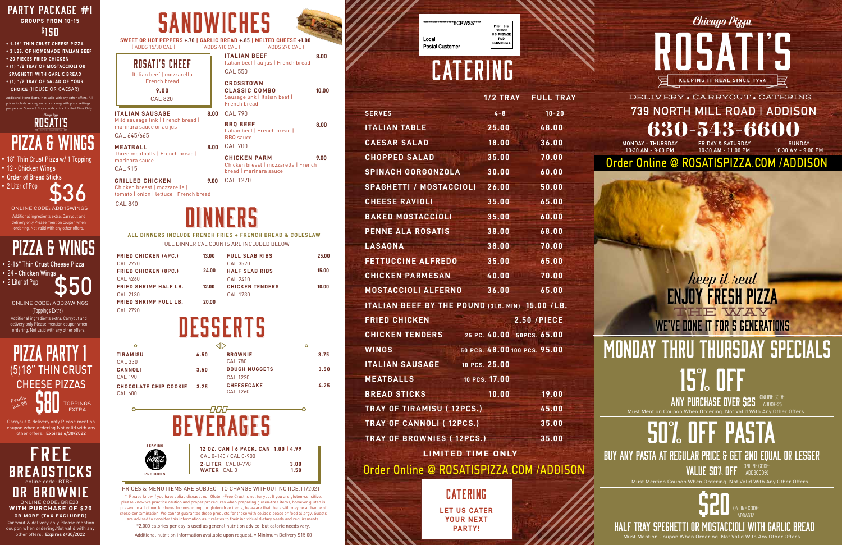



**ALL DINNERS INCLUDE FRENCH FRIES + FRENCH BREAD & COLESLAW** FULL DINNER CAL COUNTS ARE INCLUDED BELOW

| <b>FRIED CHICKEN (4PC.)</b>  | 13.00 | <b>FULL SLAB RIBS</b>  | 25.00 |
|------------------------------|-------|------------------------|-------|
| CAL 2770                     |       | CAL 3520               |       |
| <b>FRIED CHICKEN (8PC.)</b>  | 24.00 | <b>HALF SLAB RIBS</b>  | 15.00 |
| CAL 4260                     |       | CAL 2410               |       |
| <b>FRIED SHRIMP HALF LB.</b> | 12.00 | <b>CHICKEN TENDERS</b> | 10.00 |
| CAL 2130                     |       | CAL 1730               |       |
| <b>FRIED SHRIMP FULL LB.</b> | 20.00 |                        |       |
| <b>CAL 2790</b>              |       |                        |       |

# **DESSERTS**

#### **739 NORTH MILL ROAD | ADDISON** 630-543-6600 DELIVERY · CARRYOUT · CATERING

| TIRAMISU                                | 4.50 | <b>BROWNIE</b>                                                                                                                                                                                                                                                                                                                                                                       | 3.75 |
|-----------------------------------------|------|--------------------------------------------------------------------------------------------------------------------------------------------------------------------------------------------------------------------------------------------------------------------------------------------------------------------------------------------------------------------------------------|------|
| <b>CAL 330</b>                          |      | <b>CAL 780</b>                                                                                                                                                                                                                                                                                                                                                                       |      |
| CANNOLI                                 | 3.50 | <b>DOUGH NUGGETS</b>                                                                                                                                                                                                                                                                                                                                                                 | 3.50 |
| <b>CAL 190</b>                          |      | <b>CAL 1220</b>                                                                                                                                                                                                                                                                                                                                                                      |      |
| CHOCOLATE CHIP COOKIE<br><b>CAL 600</b> | 3.25 | <b>CHEESECAKE</b><br><b>CAL 1260</b>                                                                                                                                                                                                                                                                                                                                                 | 4.25 |
|                                         |      |                                                                                                                                                                                                                                                                                                                                                                                      |      |
|                                         |      |                                                                                                                                                                                                                                                                                                                                                                                      |      |
| <b>SERVING</b>                          |      | $\overline{a}$ $\overline{a}$ $\overline{b}$ $\overline{a}$ $\overline{b}$ $\overline{c}$ $\overline{a}$ $\overline{b}$ $\overline{c}$ $\overline{c}$ $\overline{c}$ $\overline{c}$ $\overline{c}$ $\overline{c}$ $\overline{c}$ $\overline{c}$ $\overline{c}$ $\overline{c}$ $\overline{c}$ $\overline{c}$ $\overline{c}$ $\overline{c}$ $\overline{c}$ $\overline{c}$ $\overline{$ |      |

#### *keep it real* enjoy fresh pizza we've done it for 5 generations THE WAY

PRICES & MENU ITEMS ARE SUBJECT TO CHANGE WITHOUT NOTICE.11/2021 \* Please know if you have celiac disease, our Gluten-Free Crust is not for you. If you are gluten-sensitive, please know we practice caution and proper procedures when preparing gluten-free items, however gluten is present in all of our kitchens. In consuming our gluten-free items, be aware that there still may be a chance of cross-contamination. We cannot guarantee these products for those with celiac disease or food allergy. Guests are advised to consider this information as it relates to their individual dietary needs and requirements. \*2,000 calories per day is used as general nutrition advice, but calorie needs vary.

**8.00 BBQ BEEF** Italian beef | French bread | BBQ sauce 8.00 CAL 790

Additional nutrition information available upon request. • Minimum Delivery \$15.00

Local **Postal Customer** 

PRSRT STD FRSNT STD<br>ECRWSS<br>U.S. POSTAGE<br>PAID<br>EDDM RETAIL

**Order Online @ ROSATISPIZZA.COM /ADDISON**

**MONDAY - THURSDAY 10:30 AM - 9:00 PM**

**FRIDAY & SATURDAY 10:30 AM - 11:00 PM**

**SUNDAY 10:30 AM - 9:00 PM**

• Order of Bread Sticks • 2 Liter of Pop



### **ROSATI'S** pizza & wings

• 1-16" THIN CRUST CHEESE PIZZA • 3 LBS. OF HOMEMADE ITALIAN BEEF • 20 PIECES FRIED CHICKEN • (1) 1/2 TRAY OF MOSTACCIOLI OR SPAGHETTI WITH GARLIC BREAD

• (1) 1/2 TRAY OF SALAD OF YOUR CHOICE (HOUSE OR CAESAR)

hal Items Extra, Not valid with any other offers, All include serving materials along with plate setting n. Sterno & Tray stands extra. Limited Time Only

**8.00**

**10.00**

# monday THRU thursday specials 15% off ANY PURCHASE OVER \$25 MADOFF25

CAL 840



**ITALIAN SAUSAGE**

Mild sausage link | French bread | marinara sauce or au jus

**MEATBALL**

Three meatballs | French bread |

marinara sauce

• 24 - Chicken Wings • 2 Liter of Pop

**GRILLED CHICKEN** Chicken breast | mozzarella | tomato | onion | lettuce | French bread

ROSATI'S CHEEF Italian beef | mozzarella French bread **9.00**

> **9.00 CHICKEN PARM** Chicken breast | mozzarella | French bread | marinara sauce CAL 700 **8.00**

**CROSSTOWN CLASSIC COMBO** Sausage link | Italian beef | French bread

**SWEET OR HOT PEPPERS +.70 | GARLIC BREAD +.85 | MELTED CHEESE +1.00** ( ADDS 15/30 CAL ) ( ADDS 410 CAL ) ( ADDS 270 CAL )

> **ITALIAN BEEF** Italian beef | au jus | French bread CAL 550

CAL 820

CAL 645/665

CAL 915

CAL 1270 **9.00**

delivery only Please mention coupon when ordering. Not valid with any other offers.

Carryout & delivery only.Please mention coupon when ordering.Not valid with any other offers. Expires 6/30/2022

• 18" Thin Crust Pizza w/ 1 Topping • 12 - Chicken Wings

# CATERING

\*\*ECRWSS\*\*\*\*

Additional ingredients extra. Carryout and delivery only Please mention coupon when ordering. Not valid with any other offers. ONLINE CODE: ADD15WINGS

Additional ingredients extra. Carryout and \$50 (Toppings Extra) ONLINE CODE: ADD24WINGS

|                                                        |                              | 1/2 TRAY FULL TRAY |
|--------------------------------------------------------|------------------------------|--------------------|
| <b>SERVES</b>                                          | $4 - 8$                      | $10 - 20$          |
| <b>ITALIAN TABLE</b>                                   | 25.00                        | 48.00              |
| <b>CAESAR SALAD</b>                                    | 18.00                        | 36.00              |
| <b>CHOPPED SALAD</b>                                   | 35.00                        | 70.00              |
| <b>SPINACH GORGONZOLA</b>                              | 30.00                        | 60.00              |
| SPAGHETTI / MOSTACCIOLI                                | 26.00                        | 50.00              |
| <b>CHEESE RAVIOLI</b>                                  | 35.00                        | 65.00              |
| <b>BAKED MOSTACCIOLI</b>                               | 35.00                        | 60.00              |
| <b>PENNE ALA ROSATIS</b>                               | 38.00                        | 68.00              |
| <b>LASAGNA</b>                                         | 38.00                        | 70.00              |
| <b>FETTUCCINE ALFREDO</b>                              | 35.00                        | 65.00              |
| <b>CHICKEN PARMESAN</b>                                | 40.00                        | 70.00              |
| <b>MOSTACCIOLI ALFERNO</b>                             | 36.00                        | 65.00              |
| <b>ITALIAN BEEF BY THE POUND (3LB. MIN) 15.00 /LB.</b> |                              |                    |
| <b>FRIED CHICKEN</b>                                   |                              | <b>2.50 /PIECE</b> |
| <b>CHICKEN TENDERS</b>                                 | 25 PC. 40.00 50PCS. 65.00    |                    |
| <b>WINGS</b>                                           | 50 PCS. 48.00 100 PCS. 95.00 |                    |
| <b>ITALIAN SAUSAGE</b>                                 | 10 PCS. 25.00                |                    |
| <b>MEATBALLS</b>                                       | 10 PCS. 17.00                |                    |
| <b>BREAD STICKS</b>                                    | 10.00                        | 19.00              |
| <b>TRAY OF TIRAMISU (12PCS.)</b>                       |                              | 45.00              |
| <b>TRAY OF CANNOLI (12PCS.)</b>                        |                              | 35.00              |
| <b>TRAY OF BROWNIES (12PCS.)</b>                       |                              | 35.00              |
| <b>LIMITED TIME ONLY</b>                               |                              |                    |

Carryout & delivery only.Please mention coupon when ordering.Not valid with any other offers. Expires 6/30/2022 FREE BREADSTICKS **BROWNIE WITH PURCHASE OF \$20 OR MORE (TAX EXCLUDED)** online code: BTBS ONLINE CODE: BRE20

**LET US CATER YOUR NEXT PARTY!**  CATERING



**Order Online @ ROSATISPIZZA.COM /ADDISON**

# 50% off pasta

• 2-16" Thin Crust Cheese Pizza

Buy any pasta at regular price & get 2nd equal or lesser ONLINE CODE:

VALUE 50% OFF SUDDEDGOSO

## pizza & wings

\$20 ONLINE CODE: ADDASTA

HALF TRAY SPEGHETTI OR MOSTACCIOLI WITH GARLIC BREAD Must Mention Coupon When Ordering. Not Valid With Any Other Offers.



Must Mention Coupon When Ordering. Not Valid With Any Other Offers. ADDOFF25

Must Mention Coupon When Ordering. Not Valid With Any Other Offers.